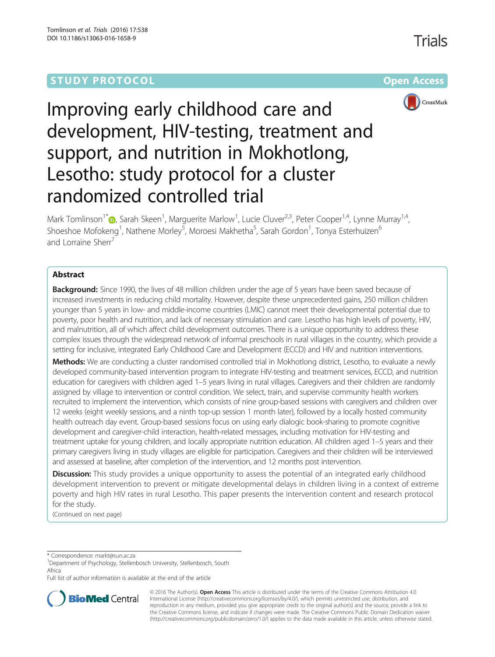# **STUDY PROTOCOL CONSUMING THE RESERVE ACCESS**

Trials



# Improving early childhood care and development, HIV-testing, treatment and support, and nutrition in Mokhotlong, Lesotho: study protocol for a cluster randomized controlled trial

Mark Tomlinson<sup>1[\\*](http://orcid.org/0000-0001-5846-3444)</sup> D, Sarah Skeen<sup>1</sup>, Marguerite Marlow<sup>1</sup>, Lucie Cluver<sup>2,3</sup>, Peter Cooper<sup>1,4</sup>, Lynne Murray<sup>1,4</sup>, Shoeshoe Mofokeng<sup>1</sup>, Nathene Morley<sup>5</sup>, Moroesi Makhetha<sup>5</sup>, Sarah Gordon<sup>1</sup>, Tonya Esterhuizen<sup>6</sup> and Lorraine Sherr<sup>7</sup>

# Abstract

Background: Since 1990, the lives of 48 million children under the age of 5 years have been saved because of increased investments in reducing child mortality. However, despite these unprecedented gains, 250 million children younger than 5 years in low- and middle-income countries (LMIC) cannot meet their developmental potential due to poverty, poor health and nutrition, and lack of necessary stimulation and care. Lesotho has high levels of poverty, HIV, and malnutrition, all of which affect child development outcomes. There is a unique opportunity to address these complex issues through the widespread network of informal preschools in rural villages in the country, which provide a setting for inclusive, integrated Early Childhood Care and Development (ECCD) and HIV and nutrition interventions.

Methods: We are conducting a cluster randomised controlled trial in Mokhotlong district, Lesotho, to evaluate a newly developed community-based intervention program to integrate HIV-testing and treatment services, ECCD, and nutrition education for caregivers with children aged 1–5 years living in rural villages. Caregivers and their children are randomly assigned by village to intervention or control condition. We select, train, and supervise community health workers recruited to implement the intervention, which consists of nine group-based sessions with caregivers and children over 12 weeks (eight weekly sessions, and a ninth top-up session 1 month later), followed by a locally hosted community health outreach day event. Group-based sessions focus on using early dialogic book-sharing to promote cognitive development and caregiver-child interaction, health-related messages, including motivation for HIV-testing and treatment uptake for young children, and locally appropriate nutrition education. All children aged 1–5 years and their primary caregivers living in study villages are eligible for participation. Caregivers and their children will be interviewed and assessed at baseline, after completion of the intervention, and 12 months post intervention.

**Discussion:** This study provides a unique opportunity to assess the potential of an integrated early childhood development intervention to prevent or mitigate developmental delays in children living in a context of extreme poverty and high HIV rates in rural Lesotho. This paper presents the intervention content and research protocol for the study.

(Continued on next page)

\* Correspondence: [markt@sun.ac.za](mailto:markt@sun.ac.za) <sup>1</sup>

Department of Psychology, Stellenbosch University, Stellenbosch, South Africa

Full list of author information is available at the end of the article



© 2016 The Author(s). Open Access This article is distributed under the terms of the Creative Commons Attribution 4.0 International License [\(http://creativecommons.org/licenses/by/4.0/](http://creativecommons.org/licenses/by/4.0/)), which permits unrestricted use, distribution, and reproduction in any medium, provided you give appropriate credit to the original author(s) and the source, provide a link to the Creative Commons license, and indicate if changes were made. The Creative Commons Public Domain Dedication waiver [\(http://creativecommons.org/publicdomain/zero/1.0/](http://creativecommons.org/publicdomain/zero/1.0/)) applies to the data made available in this article, unless otherwise stated.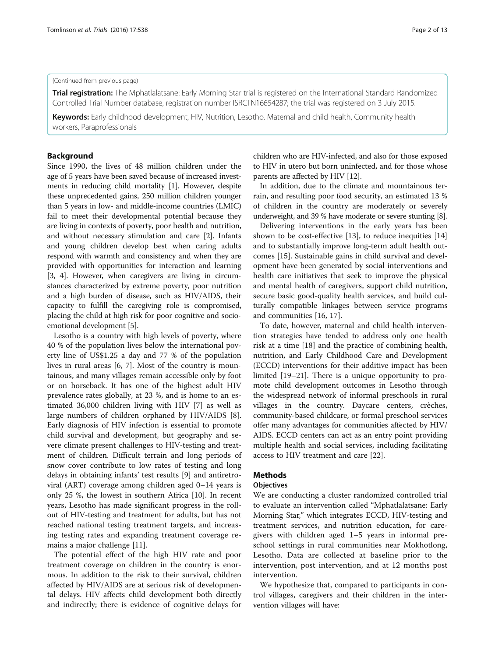#### (Continued from previous page)

**Trial registration:** The Mphatlalatsane: Early Morning Star trial is registered on the International Standard Randomized Controlled Trial Number database, registration number [ISRCTN16654287;](http://www.isrctn.com/ISRCTN16654287) the trial was registered on 3 July 2015.

Keywords: Early childhood development, HIV, Nutrition, Lesotho, Maternal and child health, Community health workers, Paraprofessionals

#### Background

Since 1990, the lives of 48 million children under the age of 5 years have been saved because of increased investments in reducing child mortality [[1\]](#page-11-0). However, despite these unprecedented gains, 250 million children younger than 5 years in low- and middle-income countries (LMIC) fail to meet their developmental potential because they are living in contexts of poverty, poor health and nutrition, and without necessary stimulation and care [\[2\]](#page-11-0). Infants and young children develop best when caring adults respond with warmth and consistency and when they are provided with opportunities for interaction and learning [[3, 4\]](#page-11-0). However, when caregivers are living in circumstances characterized by extreme poverty, poor nutrition and a high burden of disease, such as HIV/AIDS, their capacity to fulfill the caregiving role is compromised, placing the child at high risk for poor cognitive and socioemotional development [[5\]](#page-11-0).

Lesotho is a country with high levels of poverty, where 40 % of the population lives below the international poverty line of US\$1.25 a day and 77 % of the population lives in rural areas [\[6](#page-11-0), [7\]](#page-11-0). Most of the country is mountainous, and many villages remain accessible only by foot or on horseback. It has one of the highest adult HIV prevalence rates globally, at 23 %, and is home to an estimated 36,000 children living with HIV [\[7\]](#page-11-0) as well as large numbers of children orphaned by HIV/AIDS [\[8](#page-11-0)]. Early diagnosis of HIV infection is essential to promote child survival and development, but geography and severe climate present challenges to HIV-testing and treatment of children. Difficult terrain and long periods of snow cover contribute to low rates of testing and long delays in obtaining infants' test results [[9\]](#page-11-0) and antiretroviral (ART) coverage among children aged 0–14 years is only 25 %, the lowest in southern Africa [[10\]](#page-11-0). In recent years, Lesotho has made significant progress in the rollout of HIV-testing and treatment for adults, but has not reached national testing treatment targets, and increasing testing rates and expanding treatment coverage remains a major challenge [\[11](#page-11-0)].

The potential effect of the high HIV rate and poor treatment coverage on children in the country is enormous. In addition to the risk to their survival, children affected by HIV/AIDS are at serious risk of developmental delays. HIV affects child development both directly and indirectly; there is evidence of cognitive delays for children who are HIV-infected, and also for those exposed to HIV in utero but born uninfected, and for those whose parents are affected by HIV [\[12](#page-11-0)].

In addition, due to the climate and mountainous terrain, and resulting poor food security, an estimated 13 % of children in the country are moderately or severely underweight, and 39 % have moderate or severe stunting [[8](#page-11-0)].

Delivering interventions in the early years has been shown to be cost-effective [[13\]](#page-11-0), to reduce inequities [[14](#page-11-0)] and to substantially improve long-term adult health outcomes [[15\]](#page-11-0). Sustainable gains in child survival and development have been generated by social interventions and health care initiatives that seek to improve the physical and mental health of caregivers, support child nutrition, secure basic good-quality health services, and build culturally compatible linkages between service programs and communities [[16, 17\]](#page-11-0).

To date, however, maternal and child health intervention strategies have tended to address only one health risk at a time [[18](#page-11-0)] and the practice of combining health, nutrition, and Early Childhood Care and Development (ECCD) interventions for their additive impact has been limited [[19](#page-11-0)–[21](#page-11-0)]. There is a unique opportunity to promote child development outcomes in Lesotho through the widespread network of informal preschools in rural villages in the country. Daycare centers, crèches, community-based childcare, or formal preschool services offer many advantages for communities affected by HIV/ AIDS. ECCD centers can act as an entry point providing multiple health and social services, including facilitating access to HIV treatment and care [\[22](#page-11-0)].

# **Methods**

#### **Objectives**

We are conducting a cluster randomized controlled trial to evaluate an intervention called "Mphatlalatsane: Early Morning Star," which integrates ECCD, HIV-testing and treatment services, and nutrition education, for caregivers with children aged 1–5 years in informal preschool settings in rural communities near Mokhotlong, Lesotho. Data are collected at baseline prior to the intervention, post intervention, and at 12 months post intervention.

We hypothesize that, compared to participants in control villages, caregivers and their children in the intervention villages will have: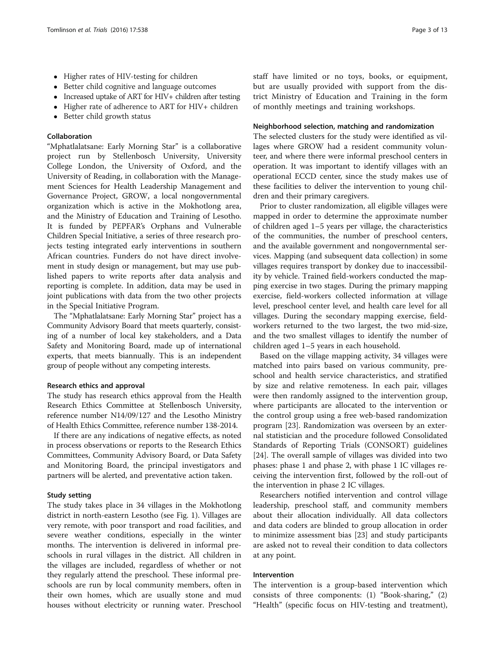- Higher rates of HIV-testing for children
- Better child cognitive and language outcomes
- Increased uptake of ART for HIV+ children after testing
- Higher rate of adherence to ART for HIV+ children
- Better child growth status

#### Collaboration

"Mphatlalatsane: Early Morning Star" is a collaborative project run by Stellenbosch University, University College London, the University of Oxford, and the University of Reading, in collaboration with the Management Sciences for Health Leadership Management and Governance Project, GROW, a local nongovernmental organization which is active in the Mokhotlong area, and the Ministry of Education and Training of Lesotho. It is funded by PEPFAR's Orphans and Vulnerable Children Special Initiative, a series of three research projects testing integrated early interventions in southern African countries. Funders do not have direct involvement in study design or management, but may use published papers to write reports after data analysis and reporting is complete. In addition, data may be used in joint publications with data from the two other projects in the Special Initiative Program.

The "Mphatlalatsane: Early Morning Star" project has a Community Advisory Board that meets quarterly, consisting of a number of local key stakeholders, and a Data Safety and Monitoring Board, made up of international experts, that meets biannually. This is an independent group of people without any competing interests.

#### Research ethics and approval

The study has research ethics approval from the Health Research Ethics Committee at Stellenbosch University, reference number N14/09/127 and the Lesotho Ministry of Health Ethics Committee, reference number 138-2014.

If there are any indications of negative effects, as noted in process observations or reports to the Research Ethics Committees, Community Advisory Board, or Data Safety and Monitoring Board, the principal investigators and partners will be alerted, and preventative action taken.

#### Study setting

The study takes place in 34 villages in the Mokhotlong district in north-eastern Lesotho (see Fig. [1\)](#page-3-0). Villages are very remote, with poor transport and road facilities, and severe weather conditions, especially in the winter months. The intervention is delivered in informal preschools in rural villages in the district. All children in the villages are included, regardless of whether or not they regularly attend the preschool. These informal preschools are run by local community members, often in their own homes, which are usually stone and mud houses without electricity or running water. Preschool staff have limited or no toys, books, or equipment, but are usually provided with support from the district Ministry of Education and Training in the form of monthly meetings and training workshops.

#### Neighborhood selection, matching and randomization

The selected clusters for the study were identified as villages where GROW had a resident community volunteer, and where there were informal preschool centers in operation. It was important to identify villages with an operational ECCD center, since the study makes use of these facilities to deliver the intervention to young children and their primary caregivers.

Prior to cluster randomization, all eligible villages were mapped in order to determine the approximate number of children aged 1–5 years per village, the characteristics of the communities, the number of preschool centers, and the available government and nongovernmental services. Mapping (and subsequent data collection) in some villages requires transport by donkey due to inaccessibility by vehicle. Trained field-workers conducted the mapping exercise in two stages. During the primary mapping exercise, field-workers collected information at village level, preschool center level, and health care level for all villages. During the secondary mapping exercise, fieldworkers returned to the two largest, the two mid-size, and the two smallest villages to identify the number of children aged 1–5 years in each household.

Based on the village mapping activity, 34 villages were matched into pairs based on various community, preschool and health service characteristics, and stratified by size and relative remoteness. In each pair, villages were then randomly assigned to the intervention group, where participants are allocated to the intervention or the control group using a free web-based randomization program [\[23](#page-11-0)]. Randomization was overseen by an external statistician and the procedure followed Consolidated Standards of Reporting Trials (CONSORT) guidelines [[24\]](#page-11-0). The overall sample of villages was divided into two phases: phase 1 and phase 2, with phase 1 IC villages receiving the intervention first, followed by the roll-out of the intervention in phase 2 IC villages.

Researchers notified intervention and control village leadership, preschool staff, and community members about their allocation individually. All data collectors and data coders are blinded to group allocation in order to minimize assessment bias [[23\]](#page-11-0) and study participants are asked not to reveal their condition to data collectors at any point.

#### Intervention

The intervention is a group-based intervention which consists of three components: (1) "Book-sharing," (2) "Health" (specific focus on HIV-testing and treatment),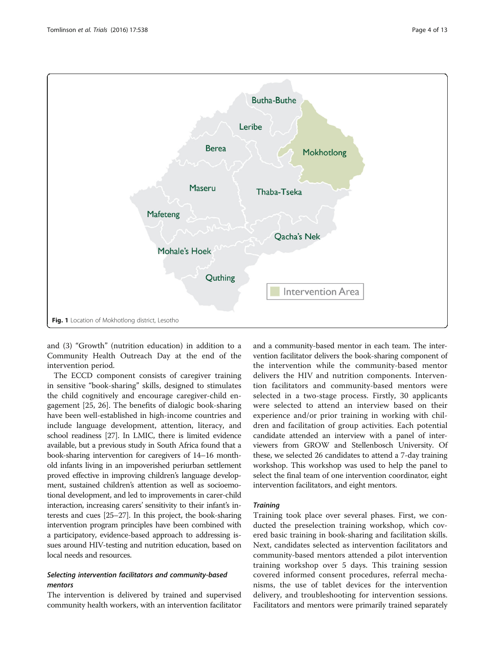<span id="page-3-0"></span>

and (3) "Growth" (nutrition education) in addition to a Community Health Outreach Day at the end of the intervention period.

The ECCD component consists of caregiver training in sensitive "book-sharing" skills, designed to stimulates the child cognitively and encourage caregiver-child engagement [[25](#page-11-0), [26\]](#page-11-0). The benefits of dialogic book-sharing have been well-established in high-income countries and include language development, attention, literacy, and school readiness [\[27\]](#page-11-0). In LMIC, there is limited evidence available, but a previous study in South Africa found that a book-sharing intervention for caregivers of 14–16 monthold infants living in an impoverished periurban settlement proved effective in improving children's language development, sustained children's attention as well as socioemotional development, and led to improvements in carer-child interaction, increasing carers' sensitivity to their infant's interests and cues [\[25](#page-11-0)–[27](#page-11-0)]. In this project, the book-sharing intervention program principles have been combined with a participatory, evidence-based approach to addressing issues around HIV-testing and nutrition education, based on local needs and resources.

# Selecting intervention facilitators and community-based mentors

The intervention is delivered by trained and supervised community health workers, with an intervention facilitator and a community-based mentor in each team. The intervention facilitator delivers the book-sharing component of the intervention while the community-based mentor delivers the HIV and nutrition components. Intervention facilitators and community-based mentors were selected in a two-stage process. Firstly, 30 applicants were selected to attend an interview based on their experience and/or prior training in working with children and facilitation of group activities. Each potential candidate attended an interview with a panel of interviewers from GROW and Stellenbosch University. Of these, we selected 26 candidates to attend a 7-day training workshop. This workshop was used to help the panel to select the final team of one intervention coordinator, eight intervention facilitators, and eight mentors.

#### **Training**

Training took place over several phases. First, we conducted the preselection training workshop, which covered basic training in book-sharing and facilitation skills. Next, candidates selected as intervention facilitators and community-based mentors attended a pilot intervention training workshop over 5 days. This training session covered informed consent procedures, referral mechanisms, the use of tablet devices for the intervention delivery, and troubleshooting for intervention sessions. Facilitators and mentors were primarily trained separately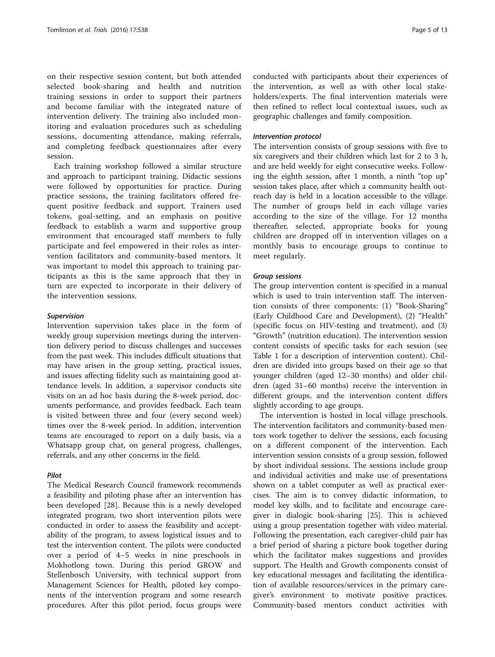on their respective session content, but both attended selected book-sharing and health and nutrition training sessions in order to support their partners and become familiar with the integrated nature of intervention delivery. The training also included monitoring and evaluation procedures such as scheduling sessions, documenting attendance, making referrals, and completing feedback questionnaires after every session.

Each training workshop followed a similar structure and approach to participant training. Didactic sessions were followed by opportunities for practice. During practice sessions, the training facilitators offered frequent positive feedback and support. Trainers used tokens, goal-setting, and an emphasis on positive feedback to establish a warm and supportive group environment that encouraged staff members to fully participate and feel empowered in their roles as intervention facilitators and community-based mentors. It was important to model this approach to training participants as this is the same approach that they in turn are expected to incorporate in their delivery of the intervention sessions.

#### Supervision

Intervention supervision takes place in the form of weekly group supervision meetings during the intervention delivery period to discuss challenges and successes from the past week. This includes difficult situations that may have arisen in the group setting, practical issues, and issues affecting fidelity such as maintaining good attendance levels. In addition, a supervisor conducts site visits on an ad hoc basis during the 8-week period, documents performance, and provides feedback. Each team is visited between three and four (every second week) times over the 8-week period. In addition, intervention teams are encouraged to report on a daily basis, via a Whatsapp group chat, on general progress, challenges, referrals, and any other concerns in the field.

### Pilot

The Medical Research Council framework recommends a feasibility and piloting phase after an intervention has been developed [\[28](#page-11-0)]. Because this is a newly developed integrated program, two short intervention pilots were conducted in order to assess the feasibility and acceptability of the program, to assess logistical issues and to test the intervention content. The pilots were conducted over a period of 4–5 weeks in nine preschools in Mokhotlong town. During this period GROW and Stellenbosch University, with technical support from Management Sciences for Health, piloted key components of the intervention program and some research procedures. After this pilot period, focus groups were

conducted with participants about their experiences of the intervention, as well as with other local stakeholders/experts. The final intervention materials were then refined to reflect local contextual issues, such as geographic challenges and family composition.

#### Intervention protocol

The intervention consists of group sessions with five to six caregivers and their children which last for 2 to 3 h, and are held weekly for eight consecutive weeks. Following the eighth session, after 1 month, a ninth "top up" session takes place, after which a community health outreach day is held in a location accessible to the village. The number of groups held in each village varies according to the size of the village. For 12 months thereafter, selected, appropriate books for young children are dropped off in intervention villages on a monthly basis to encourage groups to continue to meet regularly.

#### Group sessions

The group intervention content is specified in a manual which is used to train intervention staff. The intervention consists of three components: (1) "Book-Sharing" (Early Childhood Care and Development), (2) "Health" (specific focus on HIV-testing and treatment), and (3) "Growth" (nutrition education). The intervention session content consists of specific tasks for each session (see Table [1](#page-5-0) for a description of intervention content). Children are divided into groups based on their age so that younger children (aged 12–30 months) and older children (aged 31–60 months) receive the intervention in different groups, and the intervention content differs slightly according to age groups.

The intervention is hosted in local village preschools. The intervention facilitators and community-based mentors work together to deliver the sessions, each focusing on a different component of the intervention. Each intervention session consists of a group session, followed by short individual sessions. The sessions include group and individual activities and make use of presentations shown on a tablet computer as well as practical exercises. The aim is to convey didactic information, to model key skills, and to facilitate and encourage caregiver in dialogic book-sharing [\[25](#page-11-0)]. This is achieved using a group presentation together with video material. Following the presentation, each caregiver-child pair has a brief period of sharing a picture book together during which the facilitator makes suggestions and provides support. The Health and Growth components consist of key educational messages and facilitating the identification of available resources/services in the primary caregiver's environment to motivate positive practices. Community-based mentors conduct activities with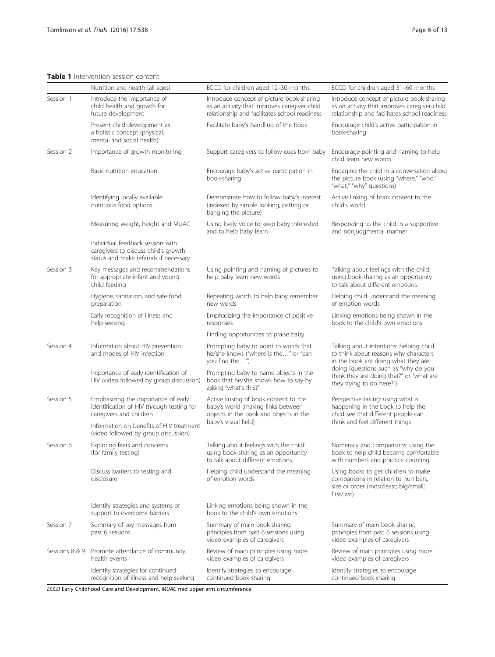# <span id="page-5-0"></span>Table 1 Intervention session content

|           | Nutrition and health (all ages)                                                                                    | ECCD for children aged 12-30 months                                                                                                        | ECCD for children aged 31-60 months                                                                                                        |  |
|-----------|--------------------------------------------------------------------------------------------------------------------|--------------------------------------------------------------------------------------------------------------------------------------------|--------------------------------------------------------------------------------------------------------------------------------------------|--|
| Session 1 | Introduce the importance of<br>child health and growth for<br>future development                                   | Introduce concept of picture book-sharing<br>as an activity that improves caregiver-child<br>relationship and facilitates school readiness | Introduce concept of picture book-sharing<br>as an activity that improves caregiver-child<br>relationship and facilitates school readiness |  |
|           | Present child development as<br>a holistic concept (physical,<br>mental and social health)                         | Facilitate baby's handling of the book                                                                                                     | Encourage child's active participation in<br>book-sharing                                                                                  |  |
| Session 2 | Importance of growth monitoring                                                                                    | Support caregivers to follow cues from baby                                                                                                | Encourage pointing and naming to help<br>child learn new words                                                                             |  |
|           | Basic nutrition education                                                                                          | Encourage baby's active participation in<br>book-sharing                                                                                   | Engaging the child in a conversation about<br>the picture book (using "where," "who,"<br>"what," "why" questions)                          |  |
|           | Identifying locally available<br>nutritious food options                                                           | Demonstrate how to follow baby's interest<br>(indexed by simple looking, patting or<br>banging the picture)                                | Active linking of book content to the<br>child's world                                                                                     |  |
|           | Measuring weight, height and MUAC                                                                                  | Using lively voice to keep baby interested<br>and to help baby learn                                                                       | Responding to the child in a supportive<br>and nonjudgmental manner                                                                        |  |
|           | Individual feedback session with<br>caregivers to discuss child's growth<br>status and make referrals if necessary |                                                                                                                                            |                                                                                                                                            |  |
| Session 3 | Key messages and recommendations<br>for appropriate infant and young<br>child feeding                              | Using pointing and naming of pictures to<br>help baby learn new words                                                                      | Talking about feelings with the child:<br>using book-sharing as an opportunity<br>to talk about different emotions                         |  |
|           | Hygiene, sanitation, and safe food<br>preparation                                                                  | Repeating words to help baby remember<br>new words                                                                                         | Helping child understand the meaning<br>of emotion words                                                                                   |  |
|           | Early recognition of illness and<br>help-seeking                                                                   | Emphasizing the importance of positive<br>responses                                                                                        | Linking emotions being shown in the<br>book to the child's own emotions                                                                    |  |
|           |                                                                                                                    | Finding opportunities to praise baby                                                                                                       |                                                                                                                                            |  |
| Session 4 | Information about HIV prevention<br>and modes of HIV infection                                                     | Prompting baby to point to words that<br>he/she knows ("where is the" or "can<br>you find the")                                            | Talking about intentions: helping child<br>to think about reasons why characters<br>in the book are doing what they are                    |  |
|           | Importance of early identification of<br>HIV (video followed by group discussion)                                  | Prompting baby to name objects in the<br>book that he/she knows how to say by<br>asking "what's this?"                                     | doing (questions such as "why do you<br>think they are doing that?" or "what are<br>they trying to do here?")                              |  |
| Session 5 | Emphasizing the importance of early<br>identification of HIV through testing for<br>caregivers and children        | Active linking of book content to the<br>baby's world (making links between<br>objects in the book and objects in the                      | Perspective taking: using what is<br>happening in the book to help the<br>child see that different people can                              |  |
|           | Information on benefits of HIV treatment<br>(video followed by group discussion)                                   | baby's visual field)                                                                                                                       | think and feel different things                                                                                                            |  |
| Session 6 | Exploring fears and concerns<br>(for family testing)                                                               | Talking about feelings with the child:<br>using book-sharing as an opportunity<br>to talk about different emotions                         | Numeracy and comparisons: using the<br>book to help child become comfortable<br>with numbers and practice counting                         |  |
|           | Discuss barriers to testing and<br>disclosure                                                                      | Helping child understand the meaning<br>of emotion words                                                                                   | Using books to get children to make<br>comparisons in relation to numbers,<br>size or order (most/least; big/small;<br>first/last)         |  |
|           | Identify strategies and systems of<br>support to overcome barriers                                                 | Linking emotions being shown in the<br>book to the child's own emotions                                                                    |                                                                                                                                            |  |
| Session 7 | Summary of key messages from<br>past 6 sessions                                                                    | Summary of main book-sharing<br>principles from past 6 sessions using<br>video examples of caregivers                                      | Summary of main book-sharing<br>principles from past 6 sessions using<br>video examples of caregivers                                      |  |
|           | Sessions 8 & 9 Promote attendance of community<br>health events                                                    | Review of main principles using more<br>video examples of caregivers                                                                       | Review of main principles using more<br>video examples of caregivers                                                                       |  |
|           | Identify strategies for continued<br>recognition of illness and help-seeking                                       | Identify strategies to encourage<br>continued book-sharing                                                                                 | Identify strategies to encourage<br>continued book-sharing                                                                                 |  |

ECCD Early Childhood Care and Development, MUAC mid upper arm circumference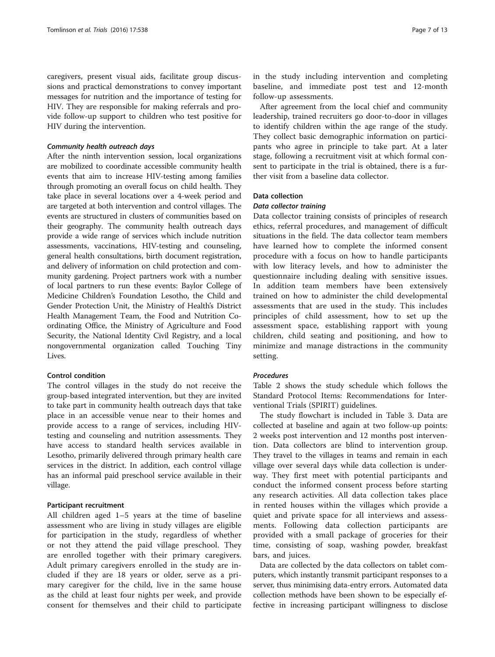caregivers, present visual aids, facilitate group discussions and practical demonstrations to convey important messages for nutrition and the importance of testing for HIV. They are responsible for making referrals and provide follow-up support to children who test positive for HIV during the intervention.

#### Community health outreach days

After the ninth intervention session, local organizations are mobilized to coordinate accessible community health events that aim to increase HIV-testing among families through promoting an overall focus on child health. They take place in several locations over a 4-week period and are targeted at both intervention and control villages. The events are structured in clusters of communities based on their geography. The community health outreach days provide a wide range of services which include nutrition assessments, vaccinations, HIV-testing and counseling, general health consultations, birth document registration, and delivery of information on child protection and community gardening. Project partners work with a number of local partners to run these events: Baylor College of Medicine Children's Foundation Lesotho, the Child and Gender Protection Unit, the Ministry of Health's District Health Management Team, the Food and Nutrition Coordinating Office, the Ministry of Agriculture and Food Security, the National Identity Civil Registry, and a local nongovernmental organization called Touching Tiny Lives.

# Control condition

The control villages in the study do not receive the group-based integrated intervention, but they are invited to take part in community health outreach days that take place in an accessible venue near to their homes and provide access to a range of services, including HIVtesting and counseling and nutrition assessments. They have access to standard health services available in Lesotho, primarily delivered through primary health care services in the district. In addition, each control village has an informal paid preschool service available in their village.

#### Participant recruitment

All children aged 1–5 years at the time of baseline assessment who are living in study villages are eligible for participation in the study, regardless of whether or not they attend the paid village preschool. They are enrolled together with their primary caregivers. Adult primary caregivers enrolled in the study are included if they are 18 years or older, serve as a primary caregiver for the child, live in the same house as the child at least four nights per week, and provide consent for themselves and their child to participate in the study including intervention and completing baseline, and immediate post test and 12-month follow-up assessments.

After agreement from the local chief and community leadership, trained recruiters go door-to-door in villages to identify children within the age range of the study. They collect basic demographic information on participants who agree in principle to take part. At a later stage, following a recruitment visit at which formal consent to participate in the trial is obtained, there is a further visit from a baseline data collector.

#### Data collection

#### Data collector training

Data collector training consists of principles of research ethics, referral procedures, and management of difficult situations in the field. The data collector team members have learned how to complete the informed consent procedure with a focus on how to handle participants with low literacy levels, and how to administer the questionnaire including dealing with sensitive issues. In addition team members have been extensively trained on how to administer the child developmental assessments that are used in the study. This includes principles of child assessment, how to set up the assessment space, establishing rapport with young children, child seating and positioning, and how to minimize and manage distractions in the community setting.

#### Procedures

Table [2](#page-7-0) shows the study schedule which follows the Standard Protocol Items: Recommendations for Interventional Trials (SPIRIT) guidelines.

The study flowchart is included in Table [3](#page-8-0). Data are collected at baseline and again at two follow-up points: 2 weeks post intervention and 12 months post intervention. Data collectors are blind to intervention group. They travel to the villages in teams and remain in each village over several days while data collection is underway. They first meet with potential participants and conduct the informed consent process before starting any research activities. All data collection takes place in rented houses within the villages which provide a quiet and private space for all interviews and assessments. Following data collection participants are provided with a small package of groceries for their time, consisting of soap, washing powder, breakfast bars, and juices.

Data are collected by the data collectors on tablet computers, which instantly transmit participant responses to a server, thus minimising data-entry errors. Automated data collection methods have been shown to be especially effective in increasing participant willingness to disclose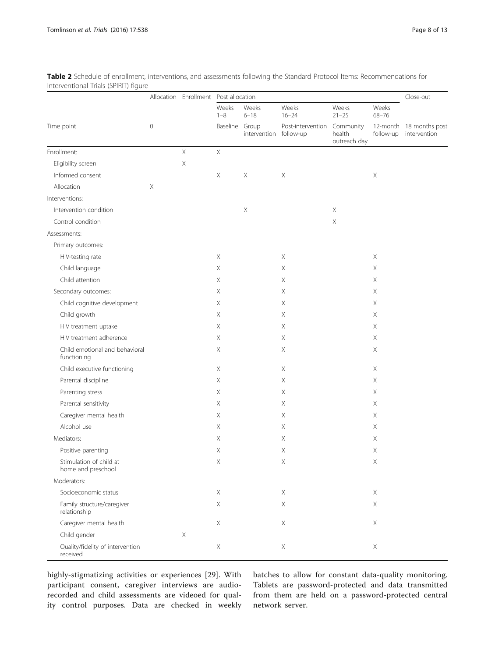|                                               | $\mathbf 0$           |             | Allocation Enrollment Post allocation |                                            |                                                                |                                              | Close-out                                   |                                |
|-----------------------------------------------|-----------------------|-------------|---------------------------------------|--------------------------------------------|----------------------------------------------------------------|----------------------------------------------|---------------------------------------------|--------------------------------|
|                                               |                       |             | Weeks<br>$1 - 8$<br>Baseline          | Weeks<br>$6 - 18$<br>Group<br>intervention | Weeks<br>$16 - 24$<br>Post-intervention Community<br>follow-up | Weeks<br>$21 - 25$<br>health<br>outreach day | Weeks<br>$68 - 76$<br>12-month<br>follow-up | 18 months post<br>intervention |
| Time point                                    |                       |             |                                       |                                            |                                                                |                                              |                                             |                                |
| Enrollment:                                   |                       | $\mathsf X$ | $\mathsf X$                           |                                            |                                                                |                                              |                                             |                                |
| Eligibility screen                            |                       | $\times$    |                                       |                                            |                                                                |                                              |                                             |                                |
| Informed consent                              |                       |             | X                                     | $\boldsymbol{\mathsf{X}}$                  | $\mathsf X$                                                    |                                              | $\mathsf X$                                 |                                |
| Allocation                                    | $\boldsymbol{\times}$ |             |                                       |                                            |                                                                |                                              |                                             |                                |
| Interventions:                                |                       |             |                                       |                                            |                                                                |                                              |                                             |                                |
| Intervention condition                        |                       |             |                                       | $\mathsf X$                                |                                                                | $\times$                                     |                                             |                                |
| Control condition                             |                       |             |                                       |                                            |                                                                | $\mathsf X$                                  |                                             |                                |
| Assessments:                                  |                       |             |                                       |                                            |                                                                |                                              |                                             |                                |
| Primary outcomes:                             |                       |             |                                       |                                            |                                                                |                                              |                                             |                                |
| HIV-testing rate                              |                       |             | X                                     |                                            | Χ                                                              |                                              | Χ                                           |                                |
| Child language                                |                       |             | $\mathsf X$                           |                                            | Χ                                                              |                                              | $\mathsf X$                                 |                                |
| Child attention                               |                       |             | X                                     |                                            | Χ                                                              |                                              | $\mathsf X$                                 |                                |
| Secondary outcomes:                           |                       |             | X                                     |                                            | Χ                                                              |                                              | X                                           |                                |
| Child cognitive development                   |                       |             | $\mathsf X$                           |                                            | Χ                                                              |                                              | $\times$                                    |                                |
| Child growth                                  |                       |             | X                                     |                                            | Χ                                                              |                                              | X                                           |                                |
| HIV treatment uptake                          |                       |             | X                                     |                                            | Χ                                                              |                                              | X                                           |                                |
| HIV treatment adherence                       |                       |             | $\mathsf X$                           |                                            | Χ                                                              |                                              | $\times$                                    |                                |
| Child emotional and behavioral<br>functioning |                       |             | X                                     |                                            | Χ                                                              |                                              | $\mathsf X$                                 |                                |
| Child executive functioning                   |                       |             | $\mathsf X$                           |                                            | $\mathsf X$                                                    |                                              | $\mathsf X$                                 |                                |
| Parental discipline                           |                       |             | X                                     |                                            | Χ                                                              |                                              | $\mathsf X$                                 |                                |
| Parenting stress                              |                       |             | X                                     |                                            | Χ                                                              |                                              | X                                           |                                |
| Parental sensitivity                          |                       |             | Χ                                     |                                            | Χ                                                              |                                              | $\times$                                    |                                |
| Caregiver mental health                       |                       |             | X                                     |                                            | Χ                                                              |                                              | X                                           |                                |
| Alcohol use                                   |                       |             | X                                     |                                            | Χ                                                              |                                              | X                                           |                                |
| Mediators:                                    |                       |             | $\mathsf X$                           |                                            | Χ                                                              |                                              | $\times$                                    |                                |
| Positive parenting                            |                       |             | $\mathsf X$                           |                                            | Χ                                                              |                                              | $\mathsf X$                                 |                                |
| Stimulation of child at<br>home and preschool |                       |             | Χ                                     |                                            | Χ                                                              |                                              | Χ                                           |                                |
| Moderators:                                   |                       |             |                                       |                                            |                                                                |                                              |                                             |                                |
| Socioeconomic status                          |                       |             | $\mathsf X$                           |                                            | X                                                              |                                              | X                                           |                                |
| Family structure/caregiver<br>relationship    |                       |             | $\mathsf X$                           |                                            | $\mathsf X$                                                    |                                              | Χ                                           |                                |
| Caregiver mental health                       |                       |             | $\mathsf X$                           |                                            | $\mathsf X$                                                    |                                              | $\mathsf X$                                 |                                |
| Child gender                                  |                       | $\mathsf X$ |                                       |                                            |                                                                |                                              |                                             |                                |
| Quality/fidelity of intervention<br>received  |                       |             | $\mathsf X$                           |                                            | $\mathsf X$                                                    |                                              | $\mathsf X$                                 |                                |

<span id="page-7-0"></span>Table 2 Schedule of enrollment, interventions, and assessments following the Standard Protocol Items: Recommendations for Interventional Trials (SPIRIT) figure

highly-stigmatizing activities or experiences [[29\]](#page-11-0). With participant consent, caregiver interviews are audiorecorded and child assessments are videoed for quality control purposes. Data are checked in weekly batches to allow for constant data-quality monitoring. Tablets are password-protected and data transmitted from them are held on a password-protected central network server.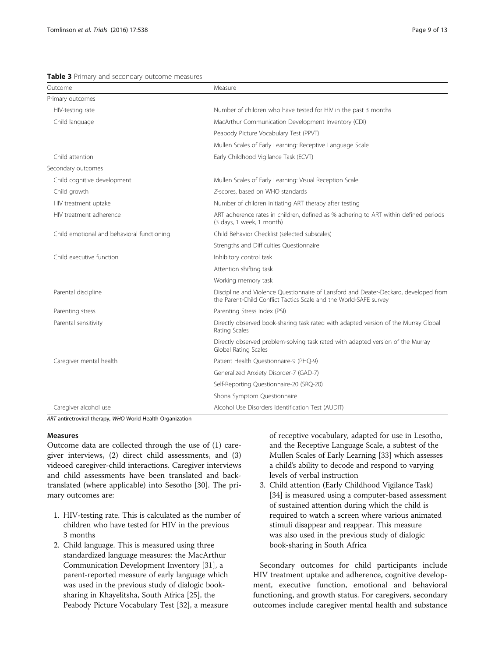<span id="page-8-0"></span>

|  |  |  |  |  | <b>Table 3</b> Primary and secondary outcome measures |  |
|--|--|--|--|--|-------------------------------------------------------|--|
|--|--|--|--|--|-------------------------------------------------------|--|

| Outcome                                    | Measure                                                                                                                                                   |
|--------------------------------------------|-----------------------------------------------------------------------------------------------------------------------------------------------------------|
| Primary outcomes                           |                                                                                                                                                           |
| HIV-testing rate                           | Number of children who have tested for HIV in the past 3 months                                                                                           |
| Child language                             | MacArthur Communication Development Inventory (CDI)                                                                                                       |
|                                            | Peabody Picture Vocabulary Test (PPVT)                                                                                                                    |
|                                            | Mullen Scales of Early Learning: Receptive Language Scale                                                                                                 |
| Child attention                            | Early Childhood Vigilance Task (ECVT)                                                                                                                     |
| Secondary outcomes                         |                                                                                                                                                           |
| Child cognitive development                | Mullen Scales of Early Learning: Visual Reception Scale                                                                                                   |
| Child growth                               | Z-scores, based on WHO standards                                                                                                                          |
| HIV treatment uptake                       | Number of children initiating ART therapy after testing                                                                                                   |
| HIV treatment adherence                    | ART adherence rates in children, defined as % adhering to ART within defined periods<br>(3 days, 1 week, 1 month)                                         |
| Child emotional and behavioral functioning | Child Behavior Checklist (selected subscales)                                                                                                             |
|                                            | Strengths and Difficulties Questionnaire                                                                                                                  |
| Child executive function                   | Inhibitory control task                                                                                                                                   |
|                                            | Attention shifting task                                                                                                                                   |
|                                            | Working memory task                                                                                                                                       |
| Parental discipline                        | Discipline and Violence Questionnaire of Lansford and Deater-Deckard, developed from<br>the Parent-Child Conflict Tactics Scale and the World-SAFE survey |
| Parenting stress                           | Parenting Stress Index (PSI)                                                                                                                              |
| Parental sensitivity                       | Directly observed book-sharing task rated with adapted version of the Murray Global<br>Rating Scales                                                      |
|                                            | Directly observed problem-solving task rated with adapted version of the Murray<br>Global Rating Scales                                                   |
| Caregiver mental health                    | Patient Health Questionnaire-9 (PHQ-9)                                                                                                                    |
|                                            | Generalized Anxiety Disorder-7 (GAD-7)                                                                                                                    |
|                                            | Self-Reporting Questionnaire-20 (SRQ-20)                                                                                                                  |
|                                            | Shona Symptom Questionnaire                                                                                                                               |
| Caregiver alcohol use                      | Alcohol Use Disorders Identification Test (AUDIT)                                                                                                         |

ART antiretroviral therapy, WHO World Health Organization

#### Measures

Outcome data are collected through the use of (1) caregiver interviews, (2) direct child assessments, and (3) videoed caregiver-child interactions. Caregiver interviews and child assessments have been translated and backtranslated (where applicable) into Sesotho [\[30](#page-11-0)]. The primary outcomes are:

- 1. HIV-testing rate. This is calculated as the number of children who have tested for HIV in the previous 3 months
- 2. Child language. This is measured using three standardized language measures: the MacArthur Communication Development Inventory [\[31\]](#page-11-0), a parent-reported measure of early language which was used in the previous study of dialogic booksharing in Khayelitsha, South Africa [[25\]](#page-11-0), the Peabody Picture Vocabulary Test [[32\]](#page-11-0), a measure

of receptive vocabulary, adapted for use in Lesotho, and the Receptive Language Scale, a subtest of the Mullen Scales of Early Learning [[33](#page-11-0)] which assesses a child's ability to decode and respond to varying levels of verbal instruction

3. Child attention (Early Childhood Vigilance Task) [[34](#page-11-0)] is measured using a computer-based assessment of sustained attention during which the child is required to watch a screen where various animated stimuli disappear and reappear. This measure was also used in the previous study of dialogic book-sharing in South Africa

Secondary outcomes for child participants include HIV treatment uptake and adherence, cognitive development, executive function, emotional and behavioral functioning, and growth status. For caregivers, secondary outcomes include caregiver mental health and substance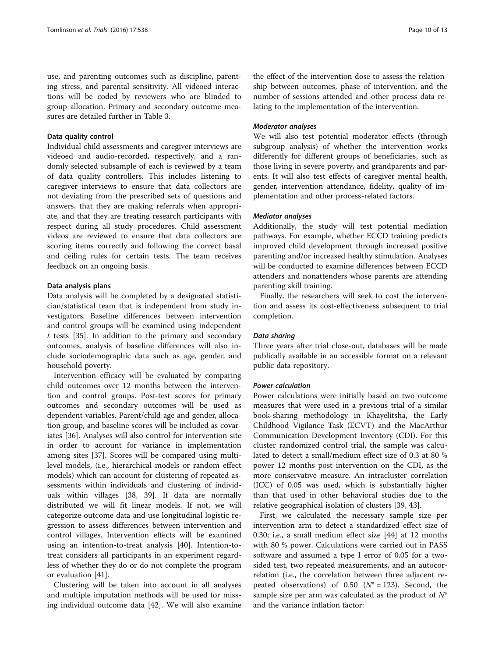use, and parenting outcomes such as discipline, parenting stress, and parental sensitivity. All videoed interactions will be coded by reviewers who are blinded to group allocation. Primary and secondary outcome measures are detailed further in Table [3](#page-8-0).

# Data quality control

Individual child assessments and caregiver interviews are videoed and audio-recorded, respectively, and a randomly selected subsample of each is reviewed by a team of data quality controllers. This includes listening to caregiver interviews to ensure that data collectors are not deviating from the prescribed sets of questions and answers, that they are making referrals when appropriate, and that they are treating research participants with respect during all study procedures. Child assessment videos are reviewed to ensure that data collectors are scoring items correctly and following the correct basal and ceiling rules for certain tests. The team receives feedback on an ongoing basis.

#### Data analysis plans

Data analysis will be completed by a designated statistician/statistical team that is independent from study investigators. Baseline differences between intervention and control groups will be examined using independent  $t$  tests [[35\]](#page-11-0). In addition to the primary and secondary outcomes, analysis of baseline differences will also include sociodemographic data such as age, gender, and household poverty.

Intervention efficacy will be evaluated by comparing child outcomes over 12 months between the intervention and control groups. Post-test scores for primary outcomes and secondary outcomes will be used as dependent variables. Parent/child age and gender, allocation group, and baseline scores will be included as covariates [\[36](#page-11-0)]. Analyses will also control for intervention site in order to account for variance in implementation among sites [\[37](#page-11-0)]. Scores will be compared using multilevel models, (i.e., hierarchical models or random effect models) which can account for clustering of repeated assessments within individuals and clustering of individuals within villages [[38, 39](#page-11-0)]. If data are normally distributed we will fit linear models. If not, we will categorize outcome data and use longitudinal logistic regression to assess differences between intervention and control villages. Intervention effects will be examined using an intention-to-treat analysis [\[40](#page-11-0)]. Intention-totreat considers all participants in an experiment regardless of whether they do or do not complete the program or evaluation [\[41](#page-11-0)].

Clustering will be taken into account in all analyses and multiple imputation methods will be used for missing individual outcome data [\[42\]](#page-12-0). We will also examine

the effect of the intervention dose to assess the relationship between outcomes, phase of intervention, and the number of sessions attended and other process data relating to the implementation of the intervention.

#### Moderator analyses

We will also test potential moderator effects (through subgroup analysis) of whether the intervention works differently for different groups of beneficiaries, such as those living in severe poverty, and grandparents and parents. It will also test effects of caregiver mental health, gender, intervention attendance, fidelity, quality of implementation and other process-related factors.

#### Mediator analyses

Additionally, the study will test potential mediation pathways. For example, whether ECCD training predicts improved child development through increased positive parenting and/or increased healthy stimulation. Analyses will be conducted to examine differences between ECCD attenders and nonattenders whose parents are attending parenting skill training.

Finally, the researchers will seek to cost the intervention and assess its cost-effectiveness subsequent to trial completion.

#### Data sharing

Three years after trial close-out, databases will be made publically available in an accessible format on a relevant public data repository.

#### Power calculation

Power calculations were initially based on two outcome measures that were used in a previous trial of a similar book-sharing methodology in Khayelitsha, the Early Childhood Vigilance Task (ECVT) and the MacArthur Communication Development Inventory (CDI). For this cluster randomized control trial, the sample was calculated to detect a small/medium effect size of 0.3 at 80 % power 12 months post intervention on the CDI, as the more conservative measure. An intracluster correlation (ICC) of 0.05 was used, which is substantially higher than that used in other behavioral studies due to the relative geographical isolation of clusters [\[39](#page-11-0), [43](#page-12-0)].

First, we calculated the necessary sample size per intervention arm to detect a standardized effect size of 0.30; i.e., a small medium effect size [\[44](#page-12-0)] at 12 months with 80 % power. Calculations were carried out in PASS software and assumed a type I error of 0.05 for a twosided test, two repeated measurements, and an autocorrelation (i.e., the correlation between three adjacent repeated observations) of 0.50 ( $N^* = 123$ ). Second, the sample size per arm was calculated as the product of  $N^*$ and the variance inflation factor: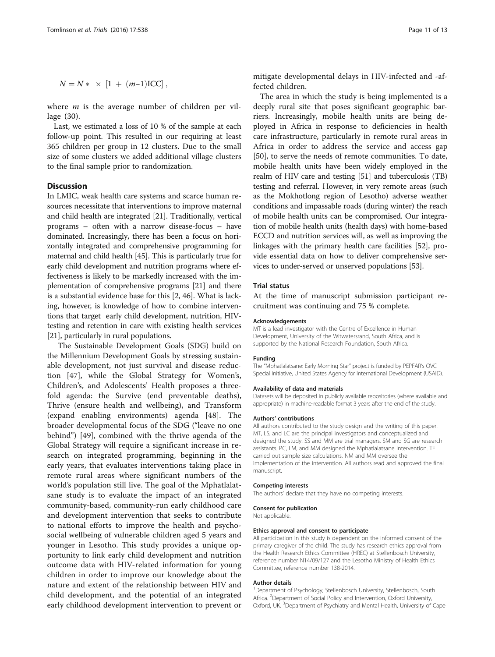$$
N = N * \times [1 + (m-1) \text{ICC}],
$$

where  $m$  is the average number of children per village (30).

Last, we estimated a loss of 10 % of the sample at each follow-up point. This resulted in our requiring at least 365 children per group in 12 clusters. Due to the small size of some clusters we added additional village clusters to the final sample prior to randomization.

# **Discussion**

In LMIC, weak health care systems and scarce human resources necessitate that interventions to improve maternal and child health are integrated [\[21\]](#page-11-0). Traditionally, vertical programs – often with a narrow disease-focus – have dominated. Increasingly, there has been a focus on horizontally integrated and comprehensive programming for maternal and child health [\[45\]](#page-12-0). This is particularly true for early child development and nutrition programs where effectiveness is likely to be markedly increased with the implementation of comprehensive programs [[21](#page-11-0)] and there is a substantial evidence base for this [\[2](#page-11-0), [46](#page-12-0)]. What is lacking, however, is knowledge of how to combine interventions that target early child development, nutrition, HIVtesting and retention in care with existing health services [[21](#page-11-0)], particularly in rural populations.

The Sustainable Development Goals (SDG) build on the Millennium Development Goals by stressing sustainable development, not just survival and disease reduction [[47\]](#page-12-0), while the Global Strategy for Women's, Children's, and Adolescents' Health proposes a threefold agenda: the Survive (end preventable deaths), Thrive (ensure health and wellbeing), and Transform (expand enabling environments) agenda [[48\]](#page-12-0). The broader developmental focus of the SDG ("leave no one behind") [\[49\]](#page-12-0), combined with the thrive agenda of the Global Strategy will require a significant increase in research on integrated programming, beginning in the early years, that evaluates interventions taking place in remote rural areas where significant numbers of the world's population still live. The goal of the Mphatlalatsane study is to evaluate the impact of an integrated community-based, community-run early childhood care and development intervention that seeks to contribute to national efforts to improve the health and psychosocial wellbeing of vulnerable children aged 5 years and younger in Lesotho. This study provides a unique opportunity to link early child development and nutrition outcome data with HIV-related information for young children in order to improve our knowledge about the nature and extent of the relationship between HIV and child development, and the potential of an integrated early childhood development intervention to prevent or

mitigate developmental delays in HIV-infected and -affected children.

The area in which the study is being implemented is a deeply rural site that poses significant geographic barriers. Increasingly, mobile health units are being deployed in Africa in response to deficiencies in health care infrastructure, particularly in remote rural areas in Africa in order to address the service and access gap [[50\]](#page-12-0), to serve the needs of remote communities. To date, mobile health units have been widely employed in the realm of HIV care and testing [[51\]](#page-12-0) and tuberculosis (TB) testing and referral. However, in very remote areas (such as the Mokhotlong region of Lesotho) adverse weather conditions and impassable roads (during winter) the reach of mobile health units can be compromised. Our integration of mobile health units (health days) with home-based ECCD and nutrition services will, as well as improving the linkages with the primary health care facilities [[52](#page-12-0)], provide essential data on how to deliver comprehensive services to under-served or unserved populations [\[53\]](#page-12-0).

#### Trial status

At the time of manuscript submission participant recruitment was continuing and 75 % complete.

#### Acknowledgements

MT is a lead investigator with the Centre of Excellence in Human Development, University of the Witwatersrand, South Africa, and is supported by the National Research Foundation, South Africa.

#### Funding

The "Mphatlalatsane: Early Morning Star" project is funded by PEPFAR's OVC Special Initiative, United States Agency for International Development (USAID).

#### Availability of data and materials

Datasets will be deposited in publicly available repositories (where available and appropriate) in machine-readable format 3 years after the end of the study.

#### Authors' contributions

All authors contributed to the study design and the writing of this paper. MT, LS, and LC are the principal investigators and conceptualized and designed the study. SS and MM are trial managers, SM and SG are research assistants. PC, LM, and MM designed the Mphatlalatsane intervention. TE carried out sample size calculations. NM and MM oversee the implementation of the intervention. All authors read and approved the final manuscript.

#### Competing interests

The authors' declare that they have no competing interests.

#### Consent for publication

Not applicable.

#### Ethics approval and consent to participate

All participation in this study is dependent on the informed consent of the primary caregiver of the child. The study has research ethics approval from the Health Research Ethics Committee (HREC) at Stellenbosch University, reference number N14/09/127 and the Lesotho Ministry of Health Ethics Committee, reference number 138-2014.

#### Author details

<sup>1</sup>Department of Psychology, Stellenbosch University, Stellenbosch, South Africa. <sup>2</sup> Department of Social Policy and Intervention, Oxford University Oxford, UK. <sup>3</sup>Department of Psychiatry and Mental Health, University of Cape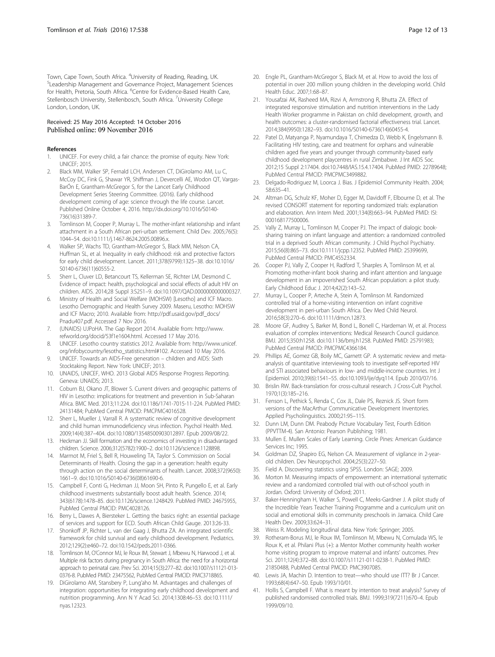<span id="page-11-0"></span>Town, Cape Town, South Africa. <sup>4</sup>University of Reading, Reading, UK.<br><sup>5</sup>Leadership Management and Governance Project, Management Sc Leadership Management and Governance Project, Management Sciences for Health, Pretoria, South Africa. <sup>6</sup>Centre for Evidence-Based Health Care, Stellenbosch University, Stellenbosch, South Africa. <sup>7</sup>University College London, London, UK.

#### Received: 25 May 2016 Accepted: 14 October 2016 Published online: 09 November 2016

#### References

- UNICEF. For every child, a fair chance: the promise of equity. New York: UNICEF; 2015.
- 2. Black MM, Walker SP, Fernald LCH, Andersen CT, DiGirolamo AM, Lu C, McCoy DC, Fink G, Shawar YR, Shiffman J, Devercelli AE, Wodon QT, Vargas-BarÓn E, Grantham-McGregor S, for the Lancet Early Childhood Development Series Steering Committee. (2016). Early childhood development coming of age: science through the life course. Lancet. Published Online October 4, 2016. [http://dx.doi.org/10.1016/S0140-](http://dx.doi.org/10.1016/S0140-736(16)31389-7) [736\(16\)31389-7](http://dx.doi.org/10.1016/S0140-736(16)31389-7).
- 3. Tomlinson M, Cooper P, Murray L. The mother-infant relationship and infant attachment in a South African peri-urban settlement. Child Dev. 2005;76(5): 1044–54. doi[:10.1111/j.1467-8624.2005.00896.x.](http://dx.doi.org/10.1111/j.1467-8624.2005.00896.x)
- 4. Walker SP, Wachs TD, Grantham-McGregor S, Black MM, Nelson CA, Huffman SL, et al. Inequality in early childhood: risk and protective factors for early child development. Lancet. 2011;378(9799):1325–38. doi:[10.1016/](http://dx.doi.org/10.1016/S0140-6736(11)60555-2) [S0140-6736\(11\)60555-2](http://dx.doi.org/10.1016/S0140-6736(11)60555-2).
- 5. Sherr L, Cluver LD, Betancourt TS, Kellerman SE, Richter LM, Desmond C. Evidence of impact: health, psychological and social effects of adult HIV on children. AIDS. 2014;28 Suppl 3:S251–9. doi:[10.1097/QAD.0000000000000327](http://dx.doi.org/10.1097/QAD.0000000000000327).
- 6. Ministry of Health and Social Welfare (MOHSW) [Lesotho] and ICF Macro. Lesotho Demographic and Health Survey 2009. Maseru, Lesotho: MOHSW and ICF Macro; 2010. Available from: [http://pdf.usaid.gov/pdf\\_docs/](http://pdf.usaid.gov/pdf_docs/Pnadu407.pdf) [Pnadu407.pdf.](http://pdf.usaid.gov/pdf_docs/Pnadu407.pdf) Accessed 7 Nov 2016.
- 7. (UNAIDS) UJPoHA. The Gap Report 2014. Available from: [http://www.](http://www.refworld.org/docid/53f1e1604.html) [refworld.org/docid/53f1e1604.html.](http://www.refworld.org/docid/53f1e1604.html) Accessed 17 May 2016.
- 8. UNICEF. Lesotho country statistics 2012. Available from: [http://www.unicef.](http://www.unicef.org/infobycountry/lesotho_statistics.html#102) [org/infobycountry/lesotho\\_statistics.html#102.](http://www.unicef.org/infobycountry/lesotho_statistics.html#102) Accessed 10 May 2016.
- 9. UNICEF. Towards an AIDS-Free generation children and AIDS: Sixth Stocktaking Report. New York: UNICEF; 2013.
- 10. UNAIDS, UNICEF, WHO. 2013 Global AIDS Response Progress Reporting. Geneva: UNAIDS; 2013.
- 11. Coburn BJ, Okano JT, Blower S. Current drivers and geographic patterns of HIV in Lesotho: implications for treatment and prevention in Sub-Saharan Africa. BMC Med. 2013;11:224. doi:[10.1186/1741-7015-11-224.](http://dx.doi.org/10.1186/1741-7015-11-224) PubMed PMID: 24131484; PubMed Central PMCID: PMCPMC4016528.
- 12. Sherr L, Mueller J, Varrall R. A systematic review of cognitive development and child human immunodeficiency virus infection. Psychol Health Med. 2009;14(4):387–404. doi[:10.1080/13548500903012897](http://dx.doi.org/10.1080/13548500903012897). Epub 2009/08/22.
- 13. Heckman JJ. Skill formation and the economics of investing in disadvantaged children. Science. 2006;312(5782):1900–2. doi[:10.1126/science.1128898](http://dx.doi.org/10.1126/science.1128898).
- 14. Marmot M, Friel S, Bell R, Houweling TA, Taylor S. Commission on Social Determinants of Health. Closing the gap in a generation: health equity through action on the social determinants of health. Lancet. 2008;372(9650): 1661–9. doi:[10.1016/S0140-6736\(08\)61690-6.](http://dx.doi.org/10.1016/S0140-6736(08)61690-6)
- 15. Campbell F, Conti G, Heckman JJ, Moon SH, Pinto R, Pungello E, et al. Early childhood investments substantially boost adult health. Science. 2014; 343(6178):1478–85. doi[:10.1126/science.1248429](http://dx.doi.org/10.1126/science.1248429). PubMed PMID: 24675955, PubMed Central PMCID: PMC4028126.
- 16. Berry L, Dawes A, Biersteker L. Getting the basics right: an essential package of services and support for ECD. South African Child Gauge. 2013:26-33.
- 17. Shonkoff JP, Richter L, van der Gaag J, Bhutta ZA. An integrated scientific framework for child survival and early childhood development. Pediatrics. 2012;129(2):e460–72. doi:[10.1542/peds.2011-0366](http://dx.doi.org/10.1542/peds.2011-0366).
- 18. Tomlinson M, O'Connor MJ, le Roux IM, Stewart J, Mbewu N, Harwood J, et al. Multiple risk factors during pregnancy in South Africa: the need for a horizontal approach to perinatal care. Prev Sci. 2014;15(3):277–82. doi[:10.1007/s11121-013-](http://dx.doi.org/10.1007/s11121-013-0376-8) [0376-8.](http://dx.doi.org/10.1007/s11121-013-0376-8) PubMed PMID: 23475562, PubMed Central PMCID: PMC3718865.
- 19. DiGirolamo AM, Stansbery P, Lung'aho M. Advantages and challenges of integration: opportunities for integrating early childhood development and nutrition programming. Ann N Y Acad Sci. 2014;1308:46–53. doi:[10.1111/](http://dx.doi.org/10.1111/nyas.12323) [nyas.12323.](http://dx.doi.org/10.1111/nyas.12323)
- 20. Engle PL, Grantham-McGregor S, Black M, et al. How to avoid the loss of potential in over 200 million young children in the developing world. Child Health Educ. 2007;1:68–87.
- 21. Yousafzai AK, Rasheed MA, Rizvi A, Armstrong R, Bhutta ZA. Effect of integrated responsive stimulation and nutrition interventions in the Lady Health Worker programme in Pakistan on child development, growth, and health outcomes: a cluster-randomised factorial effectiveness trial. Lancet. 2014;384(9950):1282–93. doi[:10.1016/S0140-6736\(14\)60455-4.](http://dx.doi.org/10.1016/S0140-6736(14)60455-4)
- 22. Patel D, Matyanga P, Nyamundaya T, Chimedza D, Webb K, Engelsmann B. Facilitating HIV testing, care and treatment for orphans and vulnerable children aged five years and younger through community-based early childhood development playcentres in rural Zimbabwe. J Int AIDS Soc. 2012;15 Suppl 2:17404. doi[:10.7448/IAS.15.4.17404.](http://dx.doi.org/10.7448/IAS.15.4.17404) PubMed PMID: 22789648; PubMed Central PMCID: PMCPMC3499882.
- 23. Delgado-Rodriguez M, Loorca J. Bias. J Epidemiol Community Health. 2004; 58:635–41.
- 24. Altman DG, Schulz KF, Moher D, Egger M, Davidoff F, Elbourne D, et al. The revised CONSORT statement for reporting randomized trials: explanation and elaboration. Ann Intern Med. 2001;134(8):663–94. PubMed PMID: ISI: 000168177500006.
- 25. Vally Z, Murray L, Tomlinson M, Cooper PJ. The impact of dialogic booksharing training on infant language and attention: a randomized controlled trial in a deprived South African community. J Child Psychol Psychiatry. 2015;56(8):865–73. doi:[10.1111/jcpp.12352.](http://dx.doi.org/10.1111/jcpp.12352) PubMed PMID: 25399699, PubMed Central PMCID: PMC4552334.
- 26. Cooper PJ, Vally Z, Cooper H, Radford T, Sharples A, Tomlinson M, et al. Promoting mother-infant book sharing and infant attention and language development in an impoverished South African population: a pilot study. Early Childhood Educ J. 2014;42(2):143–52.
- 27. Murray L, Cooper P, Arteche A, Stein A, Tomlinson M. Randomized controlled trial of a home-visiting intervention on infant cognitive development in peri-urban South Africa. Dev Med Child Neurol. 2016;58(3):270–6. doi:[10.1111/dmcn.12873](http://dx.doi.org/10.1111/dmcn.12873).
- 28. Moore GF, Audrey S, Barker M, Bond L, Bonell C, Hardeman W, et al. Process evaluation of complex interventions: Medical Research Council guidance. BMJ. 2015;350:h1258. doi:[10.1136/bmj.h1258.](http://dx.doi.org/10.1136/bmj.h1258) PubMed PMID: 25791983; PubMed Central PMCID: PMCPMC4366184.
- 29. Phillips AE, Gomez GB, Boily MC, Garnett GP. A systematic review and metaanalysis of quantitative interviewing tools to investigate self-reported HIV and STI associated behaviours in low- and middle-income countries. Int J Epidemiol. 2010;39(6):1541–55. doi[:10.1093/ije/dyq114](http://dx.doi.org/10.1093/ije/dyq114). Epub 2010/07/16.
- 30. Brislin RW. Back-translation for cross-cultural research. J Cross-Cult Psychol. 1970;1(3):185–216.
- 31. Fenson L, Pethick S, Renda C, Cox JL, Dale PS, Reznick JS. Short form versions of the MacArthur Communicative Development Inventories. Applied Psycholinguistics. 2000;21:95–115.
- 32. Dunn LM, Dunn DM. Peabody Picture Vocabulary Test, Fourth Edition (PPVTTM-4). San Antonio: Pearson Publishing; 1981.
- 33. Mullen E. Mullen Scales of Early Learning. Circle Pines: American Guidance Services Inc; 1995.
- 34. Goldman DZ, Shapiro EG, Nelson CA. Measurement of vigilance in 2-yearold children. Dev Neuropsychol. 2004;25(3):227–50.
- 35. Field A. Discovering statistics using SPSS. London: SAGE; 2009.
- 36. Morton M. Measuring impacts of empowerment: an international systematic review and a randomized controlled trial with out-of-school youth in Jordan. Oxford: University of Oxford; 2011.
- 37. Baker-Henningham H, Walker S, Powell C, Meeks-Gardner J. A pilot study of the Incredible Years Teacher Training Programme and a curriculum unit on social and emotional skills in community preschools in Jamaica. Child Care Health Dev. 2009;33:624–31.
- 38. Weiss R. Modeling longitudinal data. New York: Springer; 2005.
- 39. Rotheram-Borus MJ, le Roux IM, Tomlinson M, Mbewu N, Comulada WS, le Roux K, et al. Philani Plus (+): a Mentor Mother community health worker home visiting program to improve maternal and infants' outcomes. Prev Sci. 2011;12(4):372–88. doi[:10.1007/s11121-011-0238-1](http://dx.doi.org/10.1007/s11121-011-0238-1). PubMed PMID: 21850488, PubMed Central PMCID: PMC3907085.
- 40. Lewis JA, Machin D. Intention to treat—who should use ITT? Br J Cancer. 1993;68(4):647–50. Epub 1993/10/01.
- 41. Hollis S, Campbell F. What is meant by intention to treat analysis? Survey of published randomised controlled trials. BMJ. 1999;319(7211):670–4. Epub 1999/09/10.